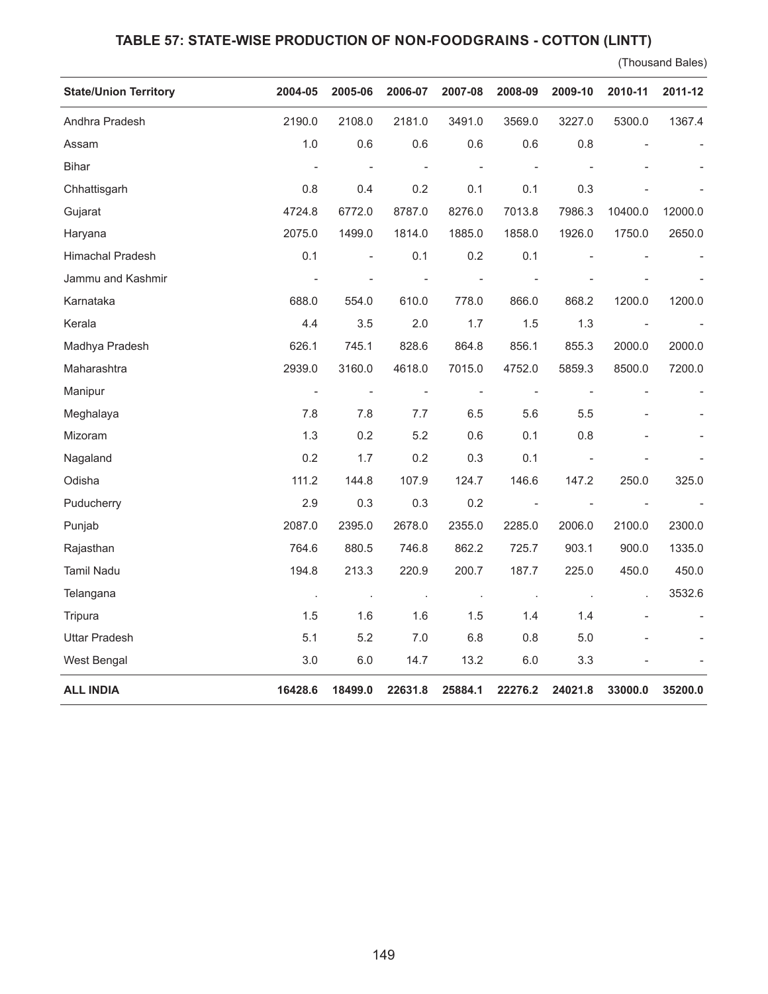## **TABLE 57: STATE-WISE PRODUCTION OF NON-FOODGRAINS - COTTON (LINTT)**

(Thousand Bales)

| <b>State/Union Territory</b> | 2004-05                  | 2005-06        | 2006-07        | 2007-08        | 2008-09                  | 2009-10                  | 2010-11                  | 2011-12 |
|------------------------------|--------------------------|----------------|----------------|----------------|--------------------------|--------------------------|--------------------------|---------|
| Andhra Pradesh               | 2190.0                   | 2108.0         | 2181.0         | 3491.0         | 3569.0                   | 3227.0                   | 5300.0                   | 1367.4  |
| Assam                        | 1.0                      | 0.6            | 0.6            | 0.6            | 0.6                      | 0.8                      |                          |         |
| <b>Bihar</b>                 |                          |                |                |                |                          |                          |                          |         |
| Chhattisgarh                 | 0.8                      | 0.4            | 0.2            | 0.1            | 0.1                      | 0.3                      |                          |         |
| Gujarat                      | 4724.8                   | 6772.0         | 8787.0         | 8276.0         | 7013.8                   | 7986.3                   | 10400.0                  | 12000.0 |
| Haryana                      | 2075.0                   | 1499.0         | 1814.0         | 1885.0         | 1858.0                   | 1926.0                   | 1750.0                   | 2650.0  |
| Himachal Pradesh             | 0.1                      | $\blacksquare$ | 0.1            | 0.2            | 0.1                      |                          |                          |         |
| Jammu and Kashmir            | $\overline{\phantom{0}}$ |                |                |                |                          |                          |                          |         |
| Karnataka                    | 688.0                    | 554.0          | 610.0          | 778.0          | 866.0                    | 868.2                    | 1200.0                   | 1200.0  |
| Kerala                       | 4.4                      | 3.5            | 2.0            | 1.7            | 1.5                      | 1.3                      | $\overline{\phantom{a}}$ |         |
| Madhya Pradesh               | 626.1                    | 745.1          | 828.6          | 864.8          | 856.1                    | 855.3                    | 2000.0                   | 2000.0  |
| Maharashtra                  | 2939.0                   | 3160.0         | 4618.0         | 7015.0         | 4752.0                   | 5859.3                   | 8500.0                   | 7200.0  |
| Manipur                      | $\overline{\phantom{a}}$ |                | $\blacksquare$ | $\blacksquare$ |                          | $\overline{\phantom{a}}$ |                          |         |
| Meghalaya                    | 7.8                      | 7.8            | 7.7            | 6.5            | 5.6                      | 5.5                      |                          |         |
| Mizoram                      | 1.3                      | 0.2            | 5.2            | 0.6            | 0.1                      | 0.8                      |                          |         |
| Nagaland                     | 0.2                      | 1.7            | 0.2            | 0.3            | 0.1                      |                          |                          |         |
| Odisha                       | 111.2                    | 144.8          | 107.9          | 124.7          | 146.6                    | 147.2                    | 250.0                    | 325.0   |
| Puducherry                   | 2.9                      | 0.3            | 0.3            | 0.2            | $\overline{\phantom{a}}$ | $\overline{\phantom{a}}$ | $\overline{\phantom{a}}$ |         |
| Punjab                       | 2087.0                   | 2395.0         | 2678.0         | 2355.0         | 2285.0                   | 2006.0                   | 2100.0                   | 2300.0  |
| Rajasthan                    | 764.6                    | 880.5          | 746.8          | 862.2          | 725.7                    | 903.1                    | 900.0                    | 1335.0  |
| Tamil Nadu                   | 194.8                    | 213.3          | 220.9          | 200.7          | 187.7                    | 225.0                    | 450.0                    | 450.0   |
| Telangana                    | $\cdot$                  | $\cdot$        | $\cdot$        | $\blacksquare$ | $\cdot$                  | $\sim$                   |                          | 3532.6  |
| Tripura                      | 1.5                      | 1.6            | 1.6            | 1.5            | 1.4                      | 1.4                      |                          |         |
| <b>Uttar Pradesh</b>         | 5.1                      | 5.2            | 7.0            | 6.8            | 0.8                      | 5.0                      |                          |         |
| West Bengal                  | 3.0                      | 6.0            | 14.7           | 13.2           | 6.0                      | 3.3                      |                          |         |
| <b>ALL INDIA</b>             | 16428.6                  | 18499.0        | 22631.8        | 25884.1        | 22276.2                  | 24021.8                  | 33000.0                  | 35200.0 |